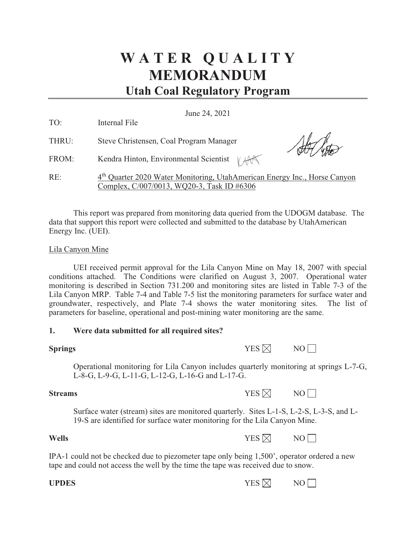# **W A T E R Q U A L I T Y MEMORANDUM Utah Coal Regulatory Program**

June 24, 2021

| TO:   | Internal File                                                                                                                       |
|-------|-------------------------------------------------------------------------------------------------------------------------------------|
| THRU: | Steve Christensen, Coal Program Manager                                                                                             |
| FROM: | Kendra Hinton, Environmental Scientist $\forall$ AA                                                                                 |
| RE:   | 4 <sup>th</sup> Quarter 2020 Water Monitoring, UtahAmerican Energy Inc., Horse Canyon<br>Complex, C/007/0013, WQ20-3, Task ID #6306 |

This report was prepared from monitoring data queried from the UDOGM database. The data that support this report were collected and submitted to the database by UtahAmerican Energy Inc. (UEI).

### Lila Canyon Mine

UEI received permit approval for the Lila Canyon Mine on May 18, 2007 with special conditions attached. The Conditions were clarified on August 3, 2007. Operational water monitoring is described in Section 731.200 and monitoring sites are listed in Table 7-3 of the Lila Canyon MRP. Table 7-4 and Table 7-5 list the monitoring parameters for surface water and groundwater, respectively, and Plate 7-4 shows the water monitoring sites. The list of parameters for baseline, operational and post-mining water monitoring are the same.

#### **1. Were data submitted for all required sites?**

| <b>Springs</b> | YES $\boxtimes$ | NO |
|----------------|-----------------|----|
|                |                 |    |

Operational monitoring for Lila Canyon includes quarterly monitoring at springs L-7-G, L-8-G, L-9-G, L-11-G, L-12-G, L-16-G and L-17-G.

**Streams**  $YES \times NOR$  NO

Surface water (stream) sites are monitored quarterly. Sites L-1-S, L-2-S, L-3-S, and L-19-S are identified for surface water monitoring for the Lila Canyon Mine.

### **Wells**  $YES \times N$

IPA-1 could not be checked due to piezometer tape only being 1,500', operator ordered a new tape and could not access the well by the time the tape was received due to snow.

| <b>UPDES</b> | YES $\boxtimes$ |  |
|--------------|-----------------|--|
|--------------|-----------------|--|